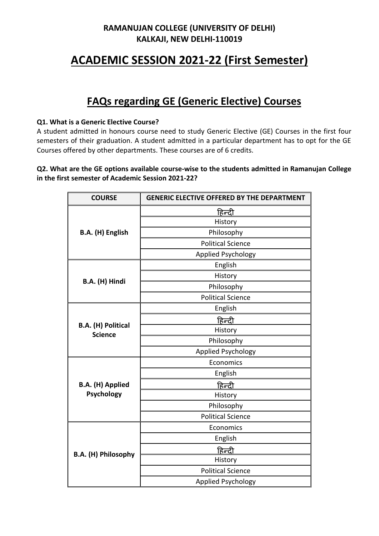## **ACADEMIC SESSION 2021-22 (First Semester)**

## **FAQs regarding GE (Generic Elective) Courses**

#### **Q1. What is a Generic Elective Course?**

A student admitted in honours course need to study Generic Elective (GE) Courses in the first four semesters of their graduation. A student admitted in a particular department has to opt for the GE Courses offered by other departments. These courses are of 6 credits.

#### **Q2. What are the GE options available course-wise to the students admitted in Ramanujan College in the first semester of Academic Session 2021-22?**

| <b>COURSE</b>                               | <b>GENERIC ELECTIVE OFFERED BY THE DEPARTMENT</b> |
|---------------------------------------------|---------------------------------------------------|
| B.A. (H) English                            | <u>हिन्दी</u>                                     |
|                                             | History                                           |
|                                             | Philosophy                                        |
|                                             | <b>Political Science</b>                          |
|                                             | Applied Psychology                                |
|                                             | English                                           |
| B.A. (H) Hindi                              | History                                           |
|                                             | Philosophy                                        |
|                                             | <b>Political Science</b>                          |
|                                             | English                                           |
|                                             | हिन्दी                                            |
| <b>B.A.</b> (H) Political<br><b>Science</b> | History                                           |
|                                             | Philosophy                                        |
|                                             | <b>Applied Psychology</b>                         |
|                                             | Economics                                         |
|                                             | English                                           |
| <b>B.A.</b> (H) Applied                     | <u>हिन्दी</u>                                     |
| Psychology                                  | History                                           |
|                                             | Philosophy                                        |
|                                             | <b>Political Science</b>                          |
| B.A. (H) Philosophy                         | Economics                                         |
|                                             | English                                           |
|                                             | <u>हिन्दी</u>                                     |
|                                             | History                                           |
|                                             | <b>Political Science</b>                          |
|                                             | <b>Applied Psychology</b>                         |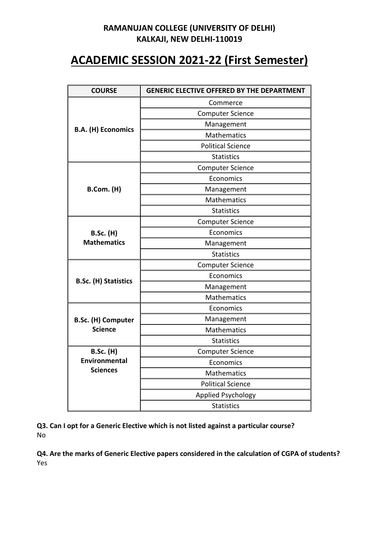# **ACADEMIC SESSION 2021-22 (First Semester)**

| <b>COURSE</b>               | <b>GENERIC ELECTIVE OFFERED BY THE DEPARTMENT</b> |
|-----------------------------|---------------------------------------------------|
|                             | Commerce                                          |
|                             | <b>Computer Science</b>                           |
|                             | Management                                        |
| <b>B.A. (H) Economics</b>   | <b>Mathematics</b>                                |
|                             | <b>Political Science</b>                          |
|                             | <b>Statistics</b>                                 |
|                             | <b>Computer Science</b>                           |
|                             | Economics                                         |
| <b>B.Com. (H)</b>           | Management                                        |
|                             | <b>Mathematics</b>                                |
|                             | <b>Statistics</b>                                 |
|                             | <b>Computer Science</b>                           |
| <b>B.Sc. (H)</b>            | Economics                                         |
| <b>Mathematics</b>          | Management                                        |
|                             | <b>Statistics</b>                                 |
|                             | <b>Computer Science</b>                           |
| <b>B.Sc. (H) Statistics</b> | Economics                                         |
|                             | Management                                        |
|                             | <b>Mathematics</b>                                |
|                             | Economics                                         |
| <b>B.Sc. (H) Computer</b>   | Management                                        |
| <b>Science</b>              | <b>Mathematics</b>                                |
|                             | <b>Statistics</b>                                 |
| <b>B.Sc. (H)</b>            | <b>Computer Science</b>                           |
| <b>Environmental</b>        | Economics                                         |
| <b>Sciences</b>             | <b>Mathematics</b>                                |
|                             | <b>Political Science</b>                          |
|                             | <b>Applied Psychology</b>                         |
|                             | <b>Statistics</b>                                 |

**Q3. Can I opt for a Generic Elective which is not listed against a particular course?** No

**Q4. Are the marks of Generic Elective papers considered in the calculation of CGPA of students?** Yes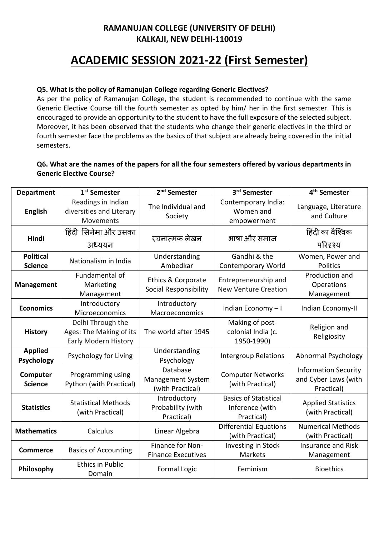# **ACADEMIC SESSION 2021-22 (First Semester)**

#### **Q5. What is the policy of Ramanujan College regarding Generic Electives?**

As per the policy of Ramanujan College, the student is recommended to continue with the same Generic Elective Course till the fourth semester as opted by him/ her in the first semester. This is encouraged to provide an opportunity to the student to have the full exposure of the selected subject. Moreover, it has been observed that the students who change their generic electives in the third or fourth semester face the problems as the basics of that subject are already being covered in the initial semesters.

#### **Q6. What are the names of the papers for all the four semesters offered by various departments in Generic Elective Course?**

| <b>Department</b>                   | 1 <sup>st</sup> Semester                                             | 2 <sup>nd</sup> Semester                                 | 3 <sup>rd</sup> Semester                                      | 4 <sup>th</sup> Semester                                          |
|-------------------------------------|----------------------------------------------------------------------|----------------------------------------------------------|---------------------------------------------------------------|-------------------------------------------------------------------|
| <b>English</b>                      | Readings in Indian<br>diversities and Literary<br>Movements          | The Individual and<br>Society                            | Contemporary India:<br>Women and<br>empowerment               | Language, Literature<br>and Culture                               |
| Hindi                               | हिंदी सिनेमा और उसका<br>अध्ययन                                       | रचनात्मक लेखन                                            | भाषा और समाज                                                  | हिंदी का वैश्विक<br>परिदृश्य                                      |
| <b>Political</b><br><b>Science</b>  | Nationalism in India                                                 | Understanding<br>Ambedkar                                | Gandhi & the<br><b>Contemporary World</b>                     | Women, Power and<br><b>Politics</b>                               |
| <b>Management</b>                   | Fundamental of<br>Marketing<br>Management                            | <b>Ethics &amp; Corporate</b><br>Social Responsibility   | Entrepreneurship and<br><b>New Venture Creation</b>           | Production and<br>Operations<br>Management                        |
| <b>Economics</b>                    | Introductory<br>Microeconomics                                       | Introductory<br>Macroeconomics                           | Indian Economy-I                                              | Indian Economy-II                                                 |
| <b>History</b>                      | Delhi Through the<br>Ages: The Making of its<br>Early Modern History | The world after 1945                                     | Making of post-<br>colonial India (c.<br>1950-1990)           | Religion and<br>Religiosity                                       |
| <b>Applied</b><br><b>Psychology</b> | Psychology for Living                                                | Understanding<br>Psychology                              | <b>Intergroup Relations</b>                                   | Abnormal Psychology                                               |
| Computer<br><b>Science</b>          | Programming using<br>Python (with Practical)                         | Database<br><b>Management System</b><br>(with Practical) | <b>Computer Networks</b><br>(with Practical)                  | <b>Information Security</b><br>and Cyber Laws (with<br>Practical) |
| <b>Statistics</b>                   | <b>Statistical Methods</b><br>(with Practical)                       | Introductory<br>Probability (with<br>Practical)          | <b>Basics of Statistical</b><br>Inference (with<br>Practical) | <b>Applied Statistics</b><br>(with Practical)                     |
| <b>Mathematics</b>                  | Calculus                                                             | Linear Algebra                                           | <b>Differential Equations</b><br>(with Practical)             | <b>Numerical Methods</b><br>(with Practical)                      |
| <b>Commerce</b>                     | <b>Basics of Accounting</b>                                          | Finance for Non-<br><b>Finance Executives</b>            | Investing in Stock<br>Markets                                 | <b>Insurance and Risk</b><br>Management                           |
| Philosophy                          | <b>Ethics in Public</b><br>Domain                                    | <b>Formal Logic</b>                                      | Feminism                                                      | <b>Bioethics</b>                                                  |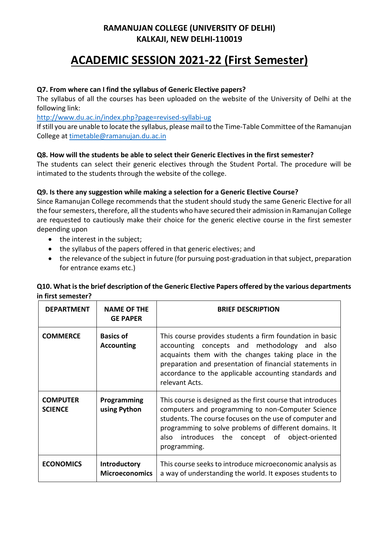# **ACADEMIC SESSION 2021-22 (First Semester)**

#### **Q7. From where can I find the syllabus of Generic Elective papers?**

The syllabus of all the courses has been uploaded on the website of the University of Delhi at the following link:

<http://www.du.ac.in/index.php?page=revised-syllabi-ug>

If still you are unable to locate the syllabus, please mail to the Time-Table Committee of the Ramanujan College at [timetable@ramanujan.du.ac.in](mailto:timetable@ramanujan.du.ac.in)

#### **Q8. How will the students be able to select their Generic Electives in the first semester?**

The students can select their generic electives through the Student Portal. The procedure will be intimated to the students through the website of the college.

#### **Q9. Is there any suggestion while making a selection for a Generic Elective Course?**

Since Ramanujan College recommends that the student should study the same Generic Elective for all the four semesters, therefore, all the students who have secured their admission in Ramanujan College are requested to cautiously make their choice for the generic elective course in the first semester depending upon

- the interest in the subject;
- the syllabus of the papers offered in that generic electives; and
- the relevance of the subject in future (for pursuing post-graduation in that subject, preparation for entrance exams etc.)

#### **Q10. What is the brief description of the Generic Elective Papers offered by the various departments in first semester?**

| <b>DEPARTMENT</b>                 | <b>NAME OF THE</b><br><b>GE PAPER</b> | <b>BRIEF DESCRIPTION</b>                                                                                                                                                                                                                                                                                   |
|-----------------------------------|---------------------------------------|------------------------------------------------------------------------------------------------------------------------------------------------------------------------------------------------------------------------------------------------------------------------------------------------------------|
| <b>COMMERCE</b>                   | <b>Basics of</b><br><b>Accounting</b> | This course provides students a firm foundation in basic<br>accounting concepts and methodology and<br>also<br>acquaints them with the changes taking place in the<br>preparation and presentation of financial statements in<br>accordance to the applicable accounting standards and<br>relevant Acts.   |
| <b>COMPUTER</b><br><b>SCIENCE</b> | Programming<br>using Python           | This course is designed as the first course that introduces<br>computers and programming to non-Computer Science<br>students. The course focuses on the use of computer and<br>programming to solve problems of different domains. It<br>also introduces the concept of<br>object-oriented<br>programming. |
| <b>ECONOMICS</b>                  | Introductory<br><b>Microeconomics</b> | This course seeks to introduce microeconomic analysis as<br>a way of understanding the world. It exposes students to                                                                                                                                                                                       |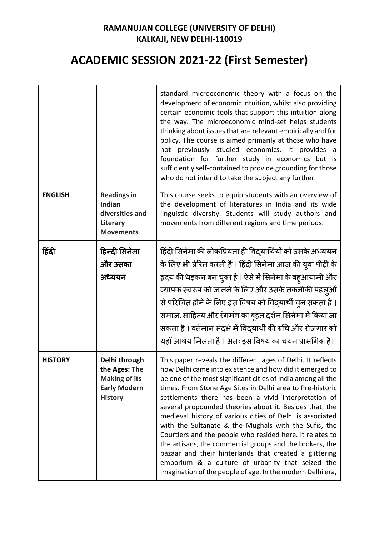# **ACADEMIC SESSION 2021-22 (First Semester)**

|                |                                                                                                 | standard microeconomic theory with a focus on the<br>development of economic intuition, whilst also providing<br>certain economic tools that support this intuition along<br>the way. The microeconomic mind-set helps students<br>thinking about issues that are relevant empirically and for<br>policy. The course is aimed primarily at those who have<br>not previously studied economics. It provides a<br>foundation for further study in economics but is<br>sufficiently self-contained to provide grounding for those<br>who do not intend to take the subject any further.                                                                                                                                                                                                            |
|----------------|-------------------------------------------------------------------------------------------------|-------------------------------------------------------------------------------------------------------------------------------------------------------------------------------------------------------------------------------------------------------------------------------------------------------------------------------------------------------------------------------------------------------------------------------------------------------------------------------------------------------------------------------------------------------------------------------------------------------------------------------------------------------------------------------------------------------------------------------------------------------------------------------------------------|
| <b>ENGLISH</b> | <b>Readings in</b><br>Indian<br>diversities and<br>Literary<br><b>Movements</b>                 | This course seeks to equip students with an overview of<br>the development of literatures in India and its wide<br>linguistic diversity. Students will study authors and<br>movements from different regions and time periods.                                                                                                                                                                                                                                                                                                                                                                                                                                                                                                                                                                  |
| हिंदी          | हिन्दी सिनेमा<br>और उसका<br>अध्ययन                                                              | हिंदी सिनेमा की लोकप्रियता ही विद्यार्थियों को उसके अध्ययन<br>के लिए भी प्रेरित करती है । हिंदी सिनेमा आज की युवा पीढ़ी के<br>हृदय की धड़कन बन चुका है । ऐसे में सिनेमा के बह्आयामी और<br>व्यापक स्वरूप को जानने के लिए और उसके तकनीकी पहल्ओं<br>से परिचित होने के लिए इस विषय को विद्यार्थी चुन सकता है ।<br>समाज, साहित्य और रंगमंच का बृहत दर्शन सिनेमा में किया जा<br>सकता है । वर्तमान संदर्भ में विद्यार्थी की रुचि और रोजगार को<br>यहाँ आश्रय मिलता है । अतः इस विषय का चयन प्रासंगिक है।                                                                                                                                                                                                                                                                                                |
| <b>HISTORY</b> | Delhi through<br>the Ages: The<br><b>Making of its</b><br><b>Early Modern</b><br><b>History</b> | This paper reveals the different ages of Delhi. It reflects<br>how Delhi came into existence and how did it emerged to<br>be one of the most significant cities of India among all the<br>times. From Stone Age Sites in Delhi area to Pre-historic<br>settlements there has been a vivid interpretation of<br>several propounded theories about it. Besides that, the<br>medieval history of various cities of Delhi is associated<br>with the Sultanate & the Mughals with the Sufis, the<br>Courtiers and the people who resided here. It relates to<br>the artisans, the commercial groups and the brokers, the<br>bazaar and their hinterlands that created a glittering<br>emporium & a culture of urbanity that seized the<br>imagination of the people of age. In the modern Delhi era, |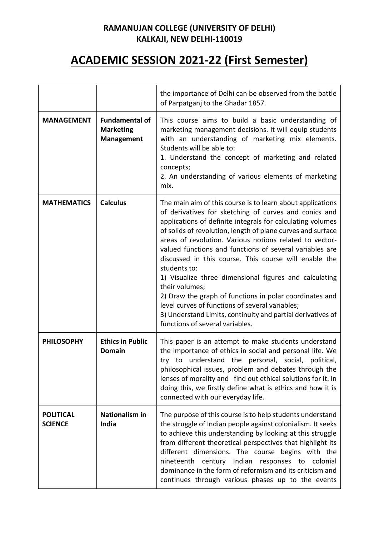# **ACADEMIC SESSION 2021-22 (First Semester)**

|                                    |                                                                | the importance of Delhi can be observed from the battle<br>of Parpatganj to the Ghadar 1857.                                                                                                                                                                                                                                                                                                                                                                                                                                                                                                                                                                                                                                                |
|------------------------------------|----------------------------------------------------------------|---------------------------------------------------------------------------------------------------------------------------------------------------------------------------------------------------------------------------------------------------------------------------------------------------------------------------------------------------------------------------------------------------------------------------------------------------------------------------------------------------------------------------------------------------------------------------------------------------------------------------------------------------------------------------------------------------------------------------------------------|
| <b>MANAGEMENT</b>                  | <b>Fundamental of</b><br><b>Marketing</b><br><b>Management</b> | This course aims to build a basic understanding of<br>marketing management decisions. It will equip students<br>with an understanding of marketing mix elements.<br>Students will be able to:<br>1. Understand the concept of marketing and related<br>concepts;<br>2. An understanding of various elements of marketing<br>mix.                                                                                                                                                                                                                                                                                                                                                                                                            |
| <b>MATHEMATICS</b>                 | <b>Calculus</b>                                                | The main aim of this course is to learn about applications<br>of derivatives for sketching of curves and conics and<br>applications of definite integrals for calculating volumes<br>of solids of revolution, length of plane curves and surface<br>areas of revolution. Various notions related to vector-<br>valued functions and functions of several variables are<br>discussed in this course. This course will enable the<br>students to:<br>1) Visualize three dimensional figures and calculating<br>their volumes;<br>2) Draw the graph of functions in polar coordinates and<br>level curves of functions of several variables;<br>3) Understand Limits, continuity and partial derivatives of<br>functions of several variables. |
| <b>PHILOSOPHY</b>                  | <b>Ethics in Public</b><br><b>Domain</b>                       | This paper is an attempt to make students understand<br>the importance of ethics in social and personal life. We<br>understand the personal, social, political,<br>try to<br>philosophical issues, problem and debates through the<br>lenses of morality and find out ethical solutions for it. In<br>doing this, we firstly define what is ethics and how it is<br>connected with our everyday life.                                                                                                                                                                                                                                                                                                                                       |
| <b>POLITICAL</b><br><b>SCIENCE</b> | <b>Nationalism in</b><br>India                                 | The purpose of this course is to help students understand<br>the struggle of Indian people against colonialism. It seeks<br>to achieve this understanding by looking at this struggle<br>from different theoretical perspectives that highlight its<br>different dimensions. The course begins with the<br>nineteenth century Indian responses to colonial<br>dominance in the form of reformism and its criticism and<br>continues through various phases up to the events                                                                                                                                                                                                                                                                 |